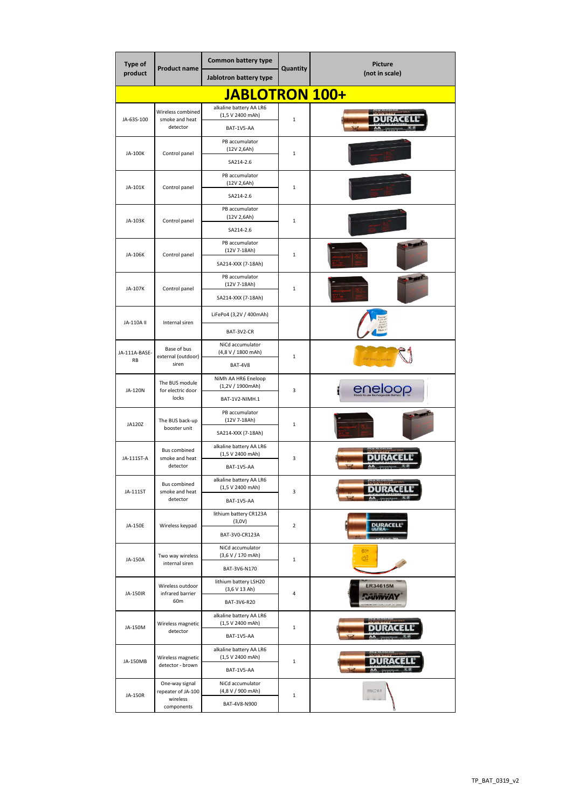| <b>Type of</b><br>product | <b>Product name</b>                                            | <b>Common battery type</b>                                |                | <b>Picture</b><br>(not in scale) |  |  |  |  |
|---------------------------|----------------------------------------------------------------|-----------------------------------------------------------|----------------|----------------------------------|--|--|--|--|
|                           |                                                                | Jablotron battery type                                    | Quantity       |                                  |  |  |  |  |
| JABLOTRON 100+            |                                                                |                                                           |                |                                  |  |  |  |  |
| JA-63S-100                | Wireless combined<br>smoke and heat<br>detector                | alkaline battery AA LR6<br>(1,5 V 2400 mAh)<br>BAT-1V5-AA | $\mathbf{1}$   |                                  |  |  |  |  |
| JA-100K                   | Control panel                                                  | PB accumulator<br>(12V 2,6Ah)<br>SA214-2.6                | 1              |                                  |  |  |  |  |
| JA-101K                   | Control panel                                                  | PB accumulator<br>(12V 2,6Ah)<br>SA214-2.6                | 1              |                                  |  |  |  |  |
| JA-103K                   | Control panel                                                  | PB accumulator<br>(12V 2,6Ah)<br>SA214-2.6                | 1              |                                  |  |  |  |  |
| JA-106K                   | Control panel                                                  | PB accumulator<br>(12V 7-18Ah)<br>SA214-XXX (7-18Ah)      | $\mathbf{1}$   |                                  |  |  |  |  |
| JA-107K                   | Control panel                                                  | PB accumulator<br>(12V 7-18Ah)<br>SA214-XXX (7-18Ah)      | 1              |                                  |  |  |  |  |
| JA-110A II                | Internal siren                                                 | LiFePo4 (3,2V / 400mAh)<br>BAT-3V2-CR                     |                |                                  |  |  |  |  |
| JA-111A-BASE-<br>RB       | Base of bus<br>external (outdoor)<br>siren                     | NiCd accumulator<br>(4,8 V / 1800 mAh)<br>BAT-4V8         | 1              |                                  |  |  |  |  |
| JA-120N                   | The BUS module<br>for electric door<br>locks                   | NiMh AA HR6 Eneloop<br>(1,2V / 1900mAh)<br>BAT-1V2-NIMH.1 | 3              | eneloop                          |  |  |  |  |
| JA120Z                    | The BUS back-up<br>booster unit                                | PB accumulator<br>(12V 7-18Ah)<br>SA214-XXX (7-18Ah)      | $\mathbf{1}$   |                                  |  |  |  |  |
| JA-111ST-A                | <b>Bus combined</b><br>smoke and heat<br>detector              | alkaline battery AA LR6<br>(1,5 V 2400 mAh)<br>BAT-1V5-AA | 3              |                                  |  |  |  |  |
| JA-111ST                  | <b>Bus combined</b><br>smoke and heat<br>detector              | alkaline battery AA LR6<br>(1,5 V 2400 mAh)<br>BAT-1V5-AA | 3              | URACE                            |  |  |  |  |
| JA-150E                   | Wireless keypad                                                | lithium battery CR123A<br>(3,0V)<br>BAT-3V0-CR123A        | $\overline{2}$ | <b>DURACELL</b>                  |  |  |  |  |
| JA-150A                   | Two way wireless<br>internal siren                             | NiCd accumulator<br>(3,6 V / 170 mAh)<br>BAT-3V6-N170     | 1              | ₫Œ<br>41                         |  |  |  |  |
| JA-150IR                  | Wireless outdoor<br>infrared barrier<br>60m                    | lithium battery LSH20<br>(3,6 V 13 Ah)<br>BAT-3V6-R20     | 4              | <b>ER34615M</b>                  |  |  |  |  |
| JA-150M                   | Wireless magnetic<br>detector                                  | alkaline battery AA LR6<br>(1,5 V 2400 mAh)<br>BAT-1V5-AA | $\mathbf{1}$   |                                  |  |  |  |  |
| JA-150MB                  | Wireless magnetic<br>detector - brown                          | alkaline battery AA LR6<br>(1,5 V 2400 mAh)<br>BAT-1V5-AA | 1              | DURACEL                          |  |  |  |  |
| JA-150R                   | One-way signal<br>repeater of JA-100<br>wireless<br>components | NiCd accumulator<br>(4,8 V / 900 mAh)<br>BAT-4V8-N900     | $\mathbf{1}$   |                                  |  |  |  |  |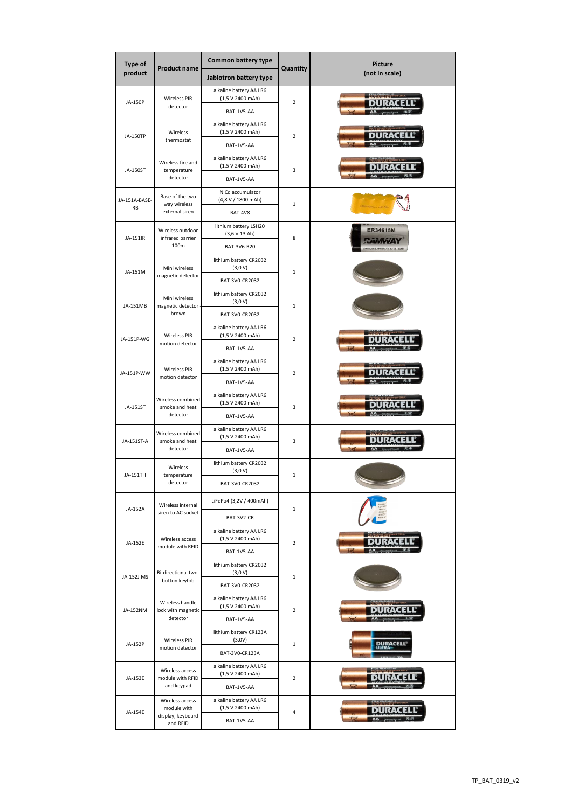| Type of<br>product  | <b>Product name</b>                                             | <b>Common battery type</b>                  | Quantity       | <b>Picture</b><br>(not in scale) |  |
|---------------------|-----------------------------------------------------------------|---------------------------------------------|----------------|----------------------------------|--|
|                     |                                                                 | Jablotron battery type                      |                |                                  |  |
|                     | <b>Wireless PIR</b>                                             | alkaline battery AA LR6<br>(1,5 V 2400 mAh) |                |                                  |  |
| JA-150P             | detector                                                        | BAT-1V5-AA                                  | $\overline{2}$ |                                  |  |
| JA-150TP            | Wireless                                                        | alkaline battery AA LR6<br>(1,5 V 2400 mAh) | $\overline{2}$ |                                  |  |
|                     | thermostat                                                      | BAT-1V5-AA                                  |                |                                  |  |
|                     | Wireless fire and<br>temperature<br>detector                    | alkaline battery AA LR6<br>(1,5 V 2400 mAh) | 3              |                                  |  |
| JA-150ST            |                                                                 | BAT-1V5-AA                                  |                |                                  |  |
| JA-151A-BASE-<br>RB | Base of the two<br>way wireless<br>external siren               | NiCd accumulator<br>(4,8 V / 1800 mAh)      | 1              |                                  |  |
|                     |                                                                 | BAT-4V8                                     |                |                                  |  |
| JA-151IR            | Wireless outdoor<br>infrared barrier                            | lithium battery LSH20<br>(3,6 V 13 Ah)      | 8              | <b>ER34615M</b>                  |  |
|                     | 100m                                                            | BAT-3V6-R20                                 |                |                                  |  |
| JA-151M             | Mini wireless<br>magnetic detector                              | lithium battery CR2032<br>(3,0 V)           | $\mathbf{1}$   |                                  |  |
|                     |                                                                 | BAT-3V0-CR2032                              |                |                                  |  |
| JA-151MB            | Mini wireless<br>magnetic detector                              | lithium battery CR2032<br>(3,0 V)           | $\mathbf 1$    |                                  |  |
|                     | brown                                                           | BAT-3V0-CR2032                              |                |                                  |  |
| JA-151P-WG          | <b>Wireless PIR</b>                                             | alkaline battery AA LR6<br>(1,5 V 2400 mAh) | $\overline{2}$ |                                  |  |
|                     | motion detector                                                 | BAT-1V5-AA                                  |                |                                  |  |
|                     | <b>Wireless PIR</b>                                             | alkaline battery AA LR6<br>(1,5 V 2400 mAh) | $\mathbf 2$    |                                  |  |
| JA-151P-WW          | motion detector                                                 | BAT-1V5-AA                                  |                |                                  |  |
| JA-151ST            | Wireless combined<br>smoke and heat                             | alkaline battery AA LR6<br>(1,5 V 2400 mAh) | 3              |                                  |  |
|                     | detector                                                        | BAT-1V5-AA                                  |                |                                  |  |
| JA-151ST-A          | Wireless combined<br>smoke and heat<br>detector                 | alkaline battery AA LR6<br>(1,5 V 2400 mAh) | 3              |                                  |  |
|                     |                                                                 | BAT-1V5-AA                                  |                |                                  |  |
| JA-151TH            | Wireless<br>temperature<br>detector                             | lithium battery CR2032<br>(3,0 V)           | $\mathbf 1$    |                                  |  |
|                     |                                                                 | BAT-3V0-CR2032                              |                |                                  |  |
| JA-152A             | Wireless internal<br>siren to AC socket                         | LiFePo4 (3,2V / 400mAh)                     | $\mathbf 1$    |                                  |  |
|                     |                                                                 | BAT-3V2-CR                                  |                |                                  |  |
| JA-152E             | Wireless access<br>module with RFID                             | alkaline battery AA LR6<br>(1,5 V 2400 mAh) | $\overline{2}$ |                                  |  |
|                     |                                                                 | BAT-1V5-AA                                  |                |                                  |  |
|                     | Bi-directional two-<br>button keyfob                            | lithium battery CR2032<br>(3,0 V)           | $\mathbf 1$    |                                  |  |
| JA-152J MS          |                                                                 | BAT-3V0-CR2032                              |                |                                  |  |
| JA-152NM            | Wireless handle<br>lock with magnetic<br>detector               | alkaline battery AA LR6<br>(1,5 V 2400 mAh) | $\mathbf 2$    |                                  |  |
|                     |                                                                 | BAT-1V5-AA                                  |                |                                  |  |
| JA-152P             | <b>Wireless PIR</b><br>motion detector                          | lithium battery CR123A<br>(3,0V)            | $\mathbf 1$    |                                  |  |
|                     |                                                                 | BAT-3V0-CR123A                              |                |                                  |  |
| JA-153E             | Wireless access<br>module with RFID<br>and keypad               | alkaline battery AA LR6<br>(1,5 V 2400 mAh) | $\overline{2}$ |                                  |  |
|                     |                                                                 | BAT-1V5-AA                                  |                |                                  |  |
| JA-154E             | Wireless access<br>module with<br>display, keyboard<br>and RFID | alkaline battery AA LR6<br>(1,5 V 2400 mAh) | 4              |                                  |  |
|                     |                                                                 | BAT-1V5-AA                                  |                |                                  |  |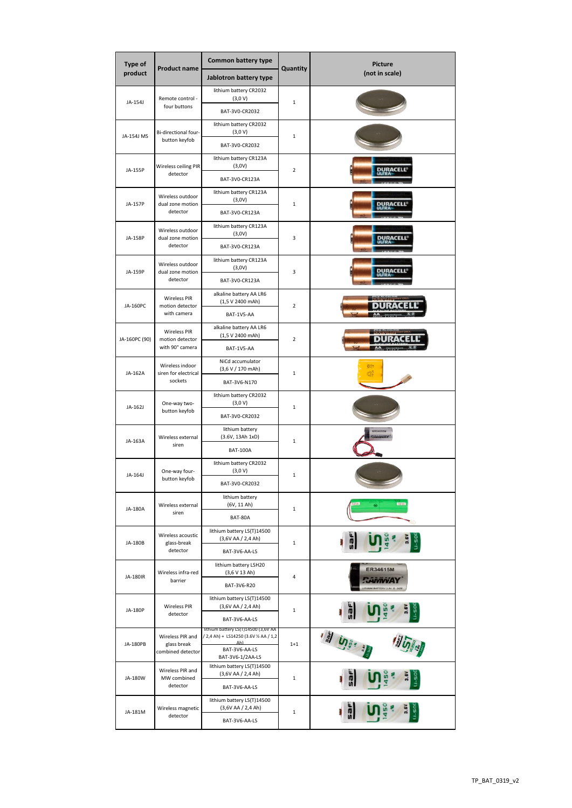| <b>Product name</b><br>Quantity                                                                                                                                          | Picture<br>(not in scale) |  |
|--------------------------------------------------------------------------------------------------------------------------------------------------------------------------|---------------------------|--|
| product<br>Jablotron battery type                                                                                                                                        |                           |  |
| lithium battery CR2032<br>(3,0 V)<br>Remote control -                                                                                                                    |                           |  |
| JA-154J<br>$\mathbf 1$<br>four buttons<br>BAT-3V0-CR2032                                                                                                                 |                           |  |
| lithium battery CR2032<br>Bi-directional four-<br>(3,0 V)<br>JA-154J MS<br>$\mathbf 1$                                                                                   |                           |  |
| button keyfob<br>BAT-3V0-CR2032                                                                                                                                          |                           |  |
| lithium battery CR123A<br>(3,0V)<br>Wireless ceiling PIR                                                                                                                 | JRACELL                   |  |
| JA-155P<br>$\overline{2}$<br>detector<br>BAT-3V0-CR123A                                                                                                                  |                           |  |
| lithium battery CR123A<br>Wireless outdoor<br>(3,0V)<br>dual zone motion<br>$\mathbf 1$<br>JA-157P<br>DURACELL                                                           |                           |  |
| detector<br>BAT-3V0-CR123A                                                                                                                                               |                           |  |
| lithium battery CR123A<br>Wireless outdoor<br>(3,0V)<br>JA-158P<br>dual zone motion<br>3<br><u>DURACELL<sup>®</sup></u>                                                  |                           |  |
| detector<br>BAT-3V0-CR123A                                                                                                                                               |                           |  |
| lithium battery CR123A<br>Wireless outdoor<br>(3,0V)<br>DURACELL'<br>dual zone motion<br>3<br>JA-159P                                                                    |                           |  |
| detector<br>BAT-3V0-CR123A<br>alkaline battery AA LR6                                                                                                                    |                           |  |
| <b>Wireless PIR</b><br>(1,5 V 2400 mAh)<br>JA-160PC<br>motion detector<br>2<br>with camera<br>BAT-1V5-AA                                                                 |                           |  |
| alkaline battery AA LR6<br><b>Wireless PIR</b>                                                                                                                           |                           |  |
| (1,5 V 2400 mAh)<br>$\overline{2}$<br>JA-160PC (90)<br>motion detector<br>with 90° camera<br>BAT-1V5-AA                                                                  |                           |  |
| NiCd accumulator                                                                                                                                                         | (Krt<br>43                |  |
| Wireless indoor<br>(3,6 V / 170 mAh)<br>JA-162A<br>siren for electrical<br>$\mathbf 1$<br>sockets                                                                        |                           |  |
| BAT-3V6-N170                                                                                                                                                             |                           |  |
| lithium battery CR2032<br>(3,0 V)<br>One-way two-<br>JA-162J<br>$\mathbf 1$<br>button keyfob<br>BAT-3V0-CR2032                                                           |                           |  |
| lithium battery<br><b>ER34615M</b>                                                                                                                                       |                           |  |
| <b>AiviviAY</b><br>(3.6V, 13Ah 1xD)<br>Wireless external<br>$\mathbf 1$<br>JA-163A<br>siren<br><b>BAT-100A</b>                                                           |                           |  |
| lithium battery CR2032<br>(3,0 V)<br>One-way four-<br>JA-164J<br>$\mathbf 1$                                                                                             |                           |  |
| button keyfob<br>BAT-3V0-CR2032                                                                                                                                          |                           |  |
| lithium battery<br>(6V, 11 Ah)<br>Wireless external<br>JA-180A<br>$\mathbf 1$                                                                                            |                           |  |
| siren<br>BAT-80A                                                                                                                                                         |                           |  |
| lithium battery LS(T)14500<br>Wireless acoustic<br>(3,6V AA / 2,4 Ah)<br>JA-180B<br>glass-break<br>$\mathbf 1$                                                           |                           |  |
| detector<br>BAT-3V6-AA-LS<br>lithium battery LSH20                                                                                                                       |                           |  |
| <b>ER34615M</b><br>(3,6 V 13 Ah)<br>Wireless infra-red<br>JA-180IR<br>4<br>barrier                                                                                       |                           |  |
| BAT-3V6-R20                                                                                                                                                              |                           |  |
| lithium battery LS(T)14500<br>(3,6V AA / 2,4 Ah)<br><b>Wireless PIR</b><br>JA-180P<br>$\mathbf 1$<br>detector                                                            |                           |  |
| BAT-3V6-AA-LS<br>lithium battery LS(T)14500 (3,6V AA                                                                                                                     |                           |  |
| <b>אַ הַיְיֹ</b><br>/ 2,4 Ah) + LS14250 (3.6V 1/2 AA / 1,2<br>Wireless PIR and<br>Δh)<br><b>JA-180PB</b><br>glass break<br>$1 + 1$<br>BAT-3V6-AA-LS<br>combined detector |                           |  |
| BAT-3V6-1/2AA-LS<br>lithium battery LS(T)14500                                                                                                                           |                           |  |
| Wireless PIR and<br>(3,6V AA / 2,4 Ah)<br>JA-180W<br>MW combined<br>$\mathbf 1$<br>detector<br>BAT-3V6-AA-LS                                                             |                           |  |
| lithium battery LS(T)14500<br>(3,6V AA / 2,4 Ah)<br>Wireless magnetic<br>而<br>JA-181M<br>1                                                                               |                           |  |
| detector                                                                                                                                                                 |                           |  |